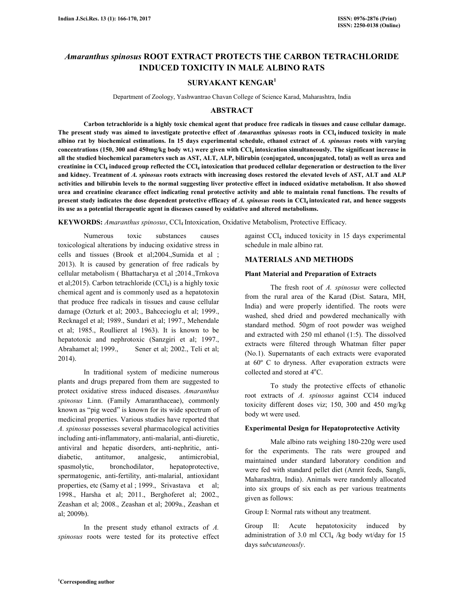# *Amaranthus spinosus* **ROOT EXTRACT PROTECTS THE CARBON TETRACHLORIDE INDUCED TOXICITY IN MALE ALBINO RATS**

## **SURYAKANT KENGAR<sup>1</sup>**

Department of Zoology, Yashwantrao Chavan College of Science Karad, Maharashtra, India

## **ABSTRACT**

**Carbon tetrachloride is a highly toxic chemical agent that produce free radicals in tissues and cause cellular damage.**  The present study was aimed to investigate protective effect of *Amaranthus spinosus* roots in CCl<sub>4</sub> induced toxicity in male **albino rat by biochemical estimations. In 15 days experimental schedule, ethanol extract of** *A. spinosus* **roots with varying concentrations (150, 300 and 450mg/kg body wt.) were given with CCl4 intoxication simultaneously. The significant increase in all the studied biochemical parameters such as AST, ALT, ALP, bilirubin (conjugated, unconjugated, total) as well as urea and creatinine in CCl<sup>4</sup> induced group reflected the CCl<sup>4</sup> intoxication that produced cellular degeneration or destruction to the liver and kidney. Treatment of** *A. spinosus* **roots extracts with increasing doses restored the elevated levels of AST, ALT and ALP activities and bilirubin levels to the normal suggesting liver protective effect in induced oxidative metabolism. It also showed urea and creatinine clearance effect indicating renal protective activity and able to maintain renal functions. The results of present study indicates the dose dependent protective efficacy of** *A. spinosus* **roots in CCl4 intoxicated rat, and hence suggests its use as a potential therapeutic agent in diseases caused by oxidative and altered metabolisms.** 

**KEYWORDS:** *Amaranthus spinosus*, CCl4 Intoxication, Oxidative Metabolism, Protective Efficacy.

 Numerous toxic substances causes toxicological alterations by inducing oxidative stress in cells and tissues (Brook et al;2004.,Sumida et al ; 2013). It is caused by generation of free radicals by cellular metabolism ( Bhattacharya et al ;2014.,Trnkova et al; 2015). Carbon tetrachloride  $(CCl<sub>4</sub>)$  is a highly toxic chemical agent and is commonly used as a hepatotoxin that produce free radicals in tissues and cause cellular damage (Ozturk et al; 2003., Bahcecioglu et al; 1999., Recknagel et al; 1989., Sundari et al; 1997., Mehendale et al; 1985., Roullieret al 1963). It is known to be hepatotoxic and nephrotoxic (Sanzgiri et al; 1997., Abrahamet al; 1999., Sener et al; 2002., Teli et al; 2014).

 In traditional system of medicine numerous plants and drugs prepared from them are suggested to protect oxidative stress induced diseases. *Amaranthus spinosus* Linn. (Family Amaranthaceae), commonly known as "pig weed" is known for its wide spectrum of medicinal properties. Various studies have reported that *A. spinosus* possesses several pharmacological activities including anti-inflammatory, anti-malarial, anti-diuretic, antiviral and hepatic disorders, anti-nephritic, antidiabetic, antitumor, analgesic, antimicrobial, spasmolytic, bronchodilator, hepatoprotective, spermatogenic, anti-fertility, anti-malarial, antioxidant properties, etc (Samy et al ; 1999., Srivastava et al; 1998., Harsha et al; 2011., Berghoferet al; 2002., Zeashan et al; 2008., Zeashan et al; 2009a., Zeashan et al; 2009b).

 In the present study ethanol extracts of *A. spinosus* roots were tested for its protective effect against  $\text{CCl}_4$  induced toxicity in 15 days experimental schedule in male albino rat.

## **MATERIALS AND METHODS**

## **Plant Material and Preparation of Extracts**

 The fresh root of *A. spinosus* were collected from the rural area of the Karad (Dist. Satara, MH, India) and were properly identified. The roots were washed, shed dried and powdered mechanically with standard method. 50gm of root powder was weighed and extracted with 250 ml ethanol (1:5). The dissolved extracts were filtered through Whatman filter paper (No.1). Supernatants of each extracts were evaporated at 60º C to dryness. After evaporation extracts were collected and stored at 4°C.

 To study the protective effects of ethanolic root extracts of *A. spinosus* against CCl4 induced toxicity different doses viz; 150, 300 and 450 mg/kg body wt were used.

## **Experimental Design for Hepatoprotective Activity**

 Male albino rats weighing 180-220g were used for the experiments. The rats were grouped and maintained under standard laboratory condition and were fed with standard pellet diet (Amrit feeds, Sangli, Maharashtra, India). Animals were randomly allocated into six groups of six each as per various treatments given as follows:

Group I: Normal rats without any treatment.

Group II: Acute hepatotoxicity induced by administration of 3.0 ml  $CCl<sub>4</sub>$  /kg body wt/day for 15 days s*ubcutaneously*.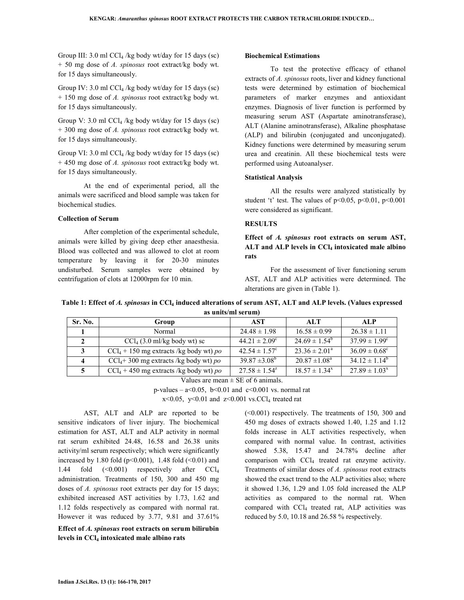Group III: 3.0 ml CCl4 /kg body wt/day for 15 days (sc) + 50 mg dose of *A. spinosus* root extract/kg body wt. for 15 days simultaneously.

Group IV: 3.0 ml  $\text{CCl}_4$  /kg body wt/day for 15 days (sc) + 150 mg dose of *A. spinosus* root extract/kg body wt. for 15 days simultaneously.

Group V: 3.0 ml  $CCl_4$ /kg body wt/day for 15 days (sc) + 300 mg dose of *A. spinosus* root extract/kg body wt. for 15 days simultaneously.

Group VI: 3.0 ml CCl4 /kg body wt/day for 15 days (sc) + 450 mg dose of *A. spinosus* root extract/kg body wt. for 15 days simultaneously.

 At the end of experimental period, all the animals were sacrificed and blood sample was taken for biochemical studies.

## **Collection of Serum**

 After completion of the experimental schedule, animals were killed by giving deep ether anaesthesia. Blood was collected and was allowed to clot at room temperature by leaving it for 20-30 minutes undisturbed. Serum samples were obtained by centrifugation of clots at 12000rpm for 10 min.

#### **Biochemical Estimations**

 To test the protective efficacy of ethanol extracts of *A. spinosus* roots, liver and kidney functional tests were determined by estimation of biochemical parameters of marker enzymes and antioxidant enzymes. Diagnosis of liver function is performed by measuring serum AST (Aspartate aminotransferase), ALT (Alanine aminotransferase), Alkaline phosphatase (ALP) and bilirubin (conjugated and unconjugated). Kidney functions were determined by measuring serum urea and creatinin. All these biochemical tests were performed using Autoanalyser.

#### **Statistical Analysis**

 All the results were analyzed statistically by student 't' test. The values of  $p<0.05$ ,  $p<0.01$ ,  $p<0.001$ were considered as significant.

## **RESULTS**

**Effect of** *A. spinosus* **root extracts on serum AST, ALT and ALP levels in CCl4 intoxicated male albino rats** 

 For the assessment of liver functioning serum AST, ALT and ALP activities were determined. The alterations are given in (Table 1).

| Table 1: Effect of A. spinosus in CCl4 induced alterations of serum AST, ALT and ALP levels. (Values expressed |
|----------------------------------------------------------------------------------------------------------------|
| as units/ml serum)                                                                                             |

| Sr. No.            | Group                                              | AST                      | ALT                           | ALP                      |
|--------------------|----------------------------------------------------|--------------------------|-------------------------------|--------------------------|
|                    | Normal                                             | $24.48 \pm 1.98$         | $16.58 \pm 0.99$              | $26.38 \pm 1.11$         |
| $\mathcal{L}$      | $\text{CCl}_4$ (3.0 ml/kg body wt) sc              | $44.21 \pm 2.09^{\circ}$ | $24.69 \pm 1.54^{\circ}$      | $37.99 \pm 1.99^{\circ}$ |
| 3                  | $ CCI_4 + 150 \text{ mg}$ extracts /kg body wt) po | $42.54 \pm 1.57^c$       | $23.36 \pm 2.01^{\circ}$      | $36.09 \pm 0.68^{\circ}$ |
| $\mathbf{\Lambda}$ | $CCl4 + 300$ mg extracts /kg body wt) po           | $39.87 \pm 3.08^{\circ}$ | $20.87 \pm 1.08^{\circ}$      | $34.12 \pm 1.14^b$       |
|                    | $CCl_4 + 450$ mg extracts /kg body wt) po          | $27.58 \pm 1.54^2$       | $18.57 \pm 1.34$ <sup>x</sup> | $27.89 \pm 1.03^x$       |

Values are mean  $\pm$  SE of 6 animals.

p-values  $- a<0.05$ , b $<0.01$  and c $<0.001$  vs. normal rat

 $x<0.05$ ,  $y<0.01$  and  $z<0.001$  vs.CCl<sub>4</sub> treated rat

 AST, ALT and ALP are reported to be sensitive indicators of liver injury. The biochemical estimation for AST, ALT and ALP activity in normal rat serum exhibited 24.48, 16.58 and 26.38 units activity/ml serum respectively; which were significantly increased by 1.80 fold ( $p<0.001$ ), 1.48 fold ( $<0.01$ ) and 1.44 fold  $(\leq 0.001)$  respectively after CCl<sub>4</sub> administration. Treatments of 150, 300 and 450 mg doses of *A. spinosus* root extracts per day for 15 days; exhibited increased AST activities by 1.73, 1.62 and 1.12 folds respectively as compared with normal rat. However it was reduced by 3.77, 9.81 and 37.61%

**Effect of** *A. spinosus* **root extracts on serum bilirubin levels in CCl4 intoxicated male albino rats** 

(<0.001) respectively. The treatments of 150, 300 and 450 mg doses of extracts showed 1.40, 1.25 and 1.12 folds increase in ALT activities respectively, when compared with normal value. In contrast, activities showed 5.38, 15.47 and 24.78% decline after comparison with  $CCl<sub>4</sub>$  treated rat enzyme activity. Treatments of similar doses of *A. spinosus* root extracts showed the exact trend to the ALP activities also; where it showed 1.36, 1.29 and 1.05 fold increased the ALP activities as compared to the normal rat. When compared with CCl<sub>4</sub> treated rat, ALP activities was reduced by 5.0, 10.18 and 26.58 % respectively.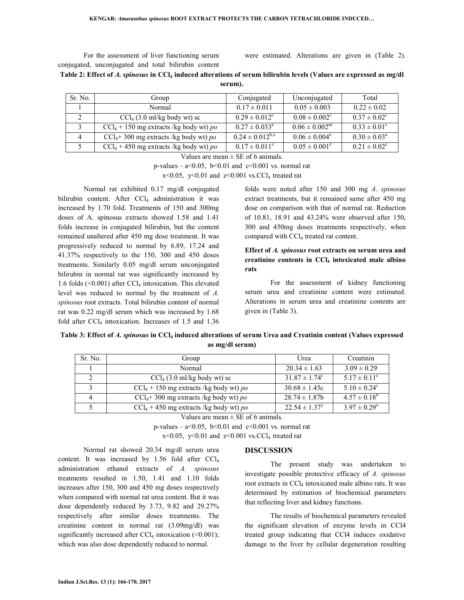For the assessment of liver functioning serum conjugated, unconjugated and total bilirubin content

were estimated. Alterations are given in (Table 2).

| Table 2: Effect of A. spinosus in CCl <sub>4</sub> induced alterations of serum bilirubin levels (Values are expressed as mg/dl |  |
|---------------------------------------------------------------------------------------------------------------------------------|--|
| serum).                                                                                                                         |  |

| Sr. No.        | Group                                     | Conjugated               | Unconjugated         | Total                   |
|----------------|-------------------------------------------|--------------------------|----------------------|-------------------------|
|                | Normal                                    | $0.17 \pm 0.011$         | $0.05 \pm 0.003$     | $0.22 \pm 0.02$         |
|                | $\text{CCl}_4$ (3.0 ml/kg body wt) sc     | $0.29 \pm 0.012^c$       | $0.08 \pm 0.002^c$   | $0.37 \pm 0.02^{\circ}$ |
|                | $CCl_4 + 150$ mg extracts /kg body wt) po | $0.27 \pm 0.033^{\circ}$ | $0.06 \pm 0.002^{2}$ | $0.33 \pm 0.01^{\circ}$ |
| $\overline{4}$ | $CCl_4$ +300 mg extracts /kg body wt) po  | $0.24 \pm 0.012^{b,x}$   | $0.06 \pm 0.004^x$   | $0.30 \pm 0.03^{\circ}$ |
|                | $CCl_4 + 450$ mg extracts /kg body wt) po | $0.17 \pm 0.011^z$       | $0.05 \pm 0.001^z$   | $0.21 \pm 0.02^z$       |

Values are mean  $\pm$  SE of 6 animals.

p-values  $- a<0.05$ , b $<0.01$  and c $<0.001$  vs. normal rat

 $x \le 0.05$ ,  $y \le 0.01$  and  $z \le 0.001$  vs.CCl<sub>4</sub> treated rat

 Normal rat exhibited 0.17 mg/dl conjugated bilirubin content. After  $CCl<sub>4</sub>$  administration it was increased by 1.70 fold. Treatments of 150 and 300mg doses of A. spinosus extracts showed 1.58 and 1.41 folds increase in conjugated bilirubin, but the content remained unaltered after 450 mg dose treatment. It was progressively reduced to normal by 6.89, 17.24 and 41.37% respectively to the 150, 300 and 450 doses treatments. Similarly 0.05 mg/dl serum unconjugated bilirubin in normal rat was significantly increased by 1.6 folds  $(\leq 0.001)$  after CCl<sub>4</sub> intoxication. This elevated level was reduced to normal by the treatment of *A. spinosus* root extracts. Total bilirubin content of normal rat was 0.22 mg/dl serum which was increased by 1.68 fold after CCl<sub>4</sub> intoxication. Increases of 1.5 and 1.36

folds were noted after 150 and 300 mg *A. spinosus* extract treatments, but it remained same after 450 mg dose on comparison with that of normal rat. Reduction of 10.81, 18.91 and 43.24% were observed after 150, 300 and 450mg doses treatments respectively, when compared with CCl<sub>4</sub> treated rat content.

## **Effect of** *A. spinosus* **root extracts on serum urea and creatinine contents in CCl<sup>4</sup> intoxicated male albino rats**

 For the assessment of kidney functioning serum urea and creatinine content were estimated. Alterations in serum urea and creatinine contents are given in (Table 3).

| Table 3: Effect of A. spinosus in CCl <sub>4</sub> induced alterations of serum Urea and Creatinin content (Values expressed |
|------------------------------------------------------------------------------------------------------------------------------|
| as mg/dl serum)                                                                                                              |

| Sr. No. | Group                                      | Urea                     | Creatinin               |
|---------|--------------------------------------------|--------------------------|-------------------------|
|         | Normal                                     | $20.34 \pm 1.63$         | $3.09 \pm 0.29$         |
|         | $\text{CCl}_4$ (3.0 ml/kg body wt) sc      | $31.87 \pm 1.74^{\circ}$ | $5.17 \pm 0.11^{\circ}$ |
|         | $ CCl_4 + 150$ mg extracts /kg body wt) po | $30.68 \pm 1.45c$        | $5.10 \pm 0.24^c$       |
|         | $CCl4+300$ mg extracts /kg body wt) po     | $28.74 \pm 1.87$         | $4.57 \pm 0.18^b$       |
|         | $ CCl_4 + 450$ mg extracts /kg body wt) po | $22.54 \pm 1.37^y$       | $3.97 \pm 0.29^x$       |

Values are mean  $\pm$  SE of 6 animals.

p-values –  $a \le 0.05$ ,  $b \le 0.01$  and  $c \le 0.001$  vs. normal rat

 $x \leq 0.05$ ,  $y \leq 0.01$  and  $z \leq 0.001$  vs.CCl<sub>4</sub> treated rat

 Normal rat showed 20.34 mg/dl serum urea content. It was increased by 1.56 fold after CCl<sub>4</sub> administration ethanol extracts of *A. spinosus* treatments resulted in 1.50, 1.41 and 1.10 folds increases after 150, 300 and 450 mg doses respectively when compared with normal rat urea content. But it was dose dependently reduced by 3.73, 9.82 and 29.27% respectively after similar doses treatments. The creatinine content in normal rat (3.09mg/dl) was significantly increased after  $CCl_4$  intoxication (<0.001); which was also dose dependently reduced to normal.

### **DISCUSSION**

 The present study was undertaken to investigate possible protective efficacy of *A. spinosus* root extracts in CCl<sub>4</sub> intoxicated male albino rats. It was determined by estimation of biochemical parameters that reflecting liver and kidney functions.

 The results of biochemical parameters revealed the significant elevation of enzyme levels in CCl4 treated group indicating that CCl4 induces oxidative damage to the liver by cellular degeneration resulting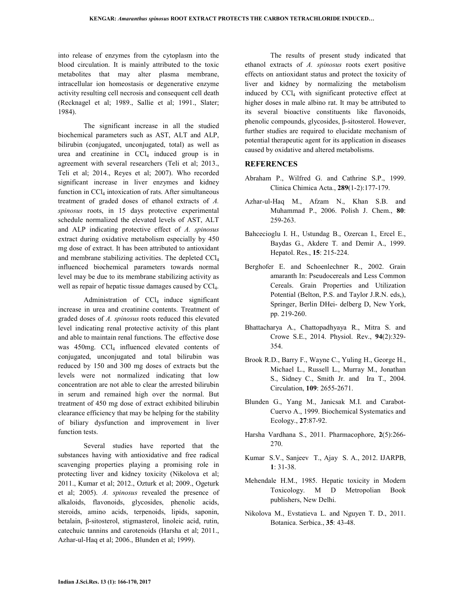into release of enzymes from the cytoplasm into the blood circulation. It is mainly attributed to the toxic metabolites that may alter plasma membrane, intracellular ion homeostasis or degenerative enzyme activity resulting cell necrosis and consequent cell death (Recknagel et al; 1989., Sallie et al; 1991., Slater; 1984).

 The significant increase in all the studied biochemical parameters such as AST, ALT and ALP, bilirubin (conjugated, unconjugated, total) as well as  $urea$  and creatinine in  $CCl_4$  induced group is in agreement with several researchers (Teli et al; 2013., Teli et al; 2014., Reyes et al; 2007). Who recorded significant increase in liver enzymes and kidney function in CCl<sub>4</sub> intoxication of rats. After simultaneous treatment of graded doses of ethanol extracts of *A. spinosus* roots, in 15 days protective experimental schedule normalized the elevated levels of AST, ALT and ALP indicating protective effect of *A. spinosus* extract during oxidative metabolism especially by 450 mg dose of extract. It has been attributed to antioxidant and membrane stabilizing activities. The depleted CCl<sup>4</sup> influenced biochemical parameters towards normal level may be due to its membrane stabilizing activity as well as repair of hepatic tissue damages caused by  $\text{CCl}_4$ .

Administration of  $CCl<sub>4</sub>$  induce significant increase in urea and creatinine contents. Treatment of graded doses of *A. spinosus* roots reduced this elevated level indicating renal protective activity of this plant and able to maintain renal functions. The effective dose was 450mg. CCl<sub>4</sub> influenced elevated contents of conjugated, unconjugated and total bilirubin was reduced by 150 and 300 mg doses of extracts but the levels were not normalized indicating that low concentration are not able to clear the arrested bilirubin in serum and remained high over the normal. But treatment of 450 mg dose of extract exhibited bilirubin clearance efficiency that may be helping for the stability of biliary dysfunction and improvement in liver function tests.

 Several studies have reported that the substances having with antioxidative and free radical scavenging properties playing a promising role in protecting liver and kidney toxicity (Nikolova et al; 2011., Kumar et al; 2012., Ozturk et al; 2009., Ogeturk et al; 2005). *A. spinosus* revealed the presence of alkaloids, flavonoids, glycosides, phenolic acids, steroids, amino acids, terpenoids, lipids, saponin, betalain, β-sitosterol, stigmasterol, linoleic acid, rutin, catechuic tannins and carotenoids (Harsha et al; 2011., Azhar-ul-Haq et al; 2006., Blunden et al; 1999).

 The results of present study indicated that ethanol extracts of *A. spinosus* roots exert positive effects on antioxidant status and protect the toxicity of liver and kidney by normalizing the metabolism induced by  $CCl<sub>4</sub>$  with significant protective effect at higher doses in male albino rat. It may be attributed to its several bioactive constituents like flavonoids, phenolic compounds, glycosides, β-sitosterol. However, further studies are required to elucidate mechanism of potential therapeutic agent for its application in diseases caused by oxidative and altered metabolisms.

## **REFERENCES**

- Abraham P., Wilfred G. and Cathrine S.P., 1999. Clinica Chimica Acta., **289**(1-2):177-179.
- Azhar-ul-Haq M., Afzam N., Khan S.B. and Muhammad P., 2006. Polish J. Chem., **80**: 259-263.
- Bahcecioglu I. H., Ustundag B., Ozercan I., Ercel E., Baydas G., Akdere T. and Demir A., 1999. Hepatol. Res., **15**: 215-224.
- Berghofer E. and Schoenlechner R., 2002. Grain amaranth In: Pseudocereals and Less Common Cereals. Grain Properties and Utilization Potential (Belton, P.S. and Taylor J.R.N. eds,), Springer, Berlin DHei- delberg D, New York, pp. 219-260.
- Bhattacharya A., Chattopadhyaya R., Mitra S. and Crowe S.E., 2014. Physiol. Rev., **94**(2):329- 354.
- Brook R.D., Barry F., Wayne C., Yuling H., George H., Michael L., Russell L., Murray M., Jonathan S., Sidney C., Smith Jr. and Ira T., 2004. Circulation, **109**: 2655-2671.
- Blunden G., Yang M., Janicsak M.I. and Carabot-Cuervo A., 1999. Biochemical Systematics and Ecology., **27**:87-92.
- Harsha Vardhana S., 2011. Pharmacophore, **2**(5):266- 270.
- Kumar S.V., Sanjeev T., Ajay S. A., 2012. IJARPB, **1**: 31-38.
- Mehendale H.M., 1985. Hepatic toxicity in Modern Toxicology. M D Metropolian Book publishers, New Delhi.
- Nikolova M., Evstatieva L. and Nguyen T. D., 2011. Botanica. Serbica., **35**: 43-48.